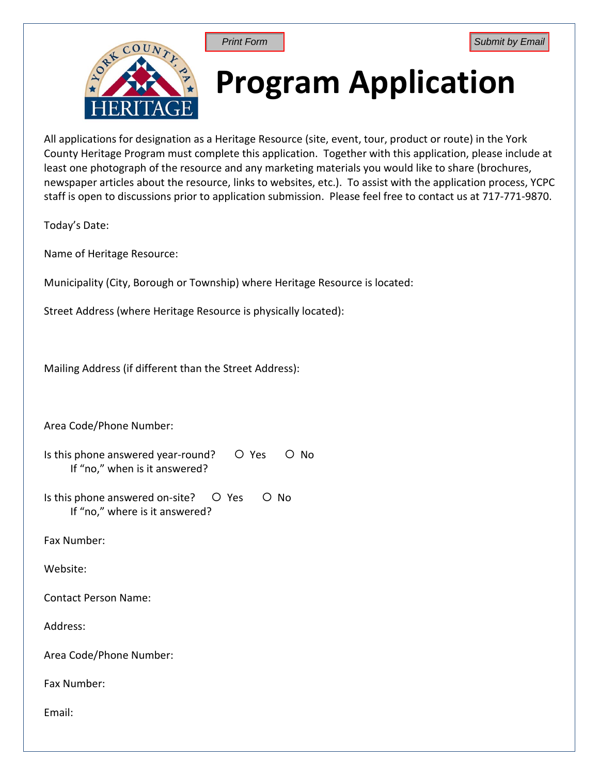



## **Program Application**

All applications for designation as a Heritage Resource (site, event, tour, product or route) in the York County Heritage Program must complete this application. Together with this application, please include at least one photograph of the resource and any marketing materials you would like to share (brochures, newspaper articles about the resource, links to websites, etc.). To assist with the application process, YCPC staff is open to discussions prior to application submission. Please feel free to contact us at 717-771-9870.

Today's Date:

Name of Heritage Resource:

Municipality (City, Borough or Township) where Heritage Resource is located:

Street Address (where Heritage Resource is physically located):

Mailing Address (if different than the Street Address):

Area Code/Phone Number:

- Is this phone answered year-round?  $O$  Yes  $O$  No If "no," when is it answered?
- Is this phone answered on-site?  $O$  Yes  $O$  No If "no," where is it answered?

Fax Number:

Website:

Contact Person Name:

Address:

Area Code/Phone Number:

Fax Number:

Email: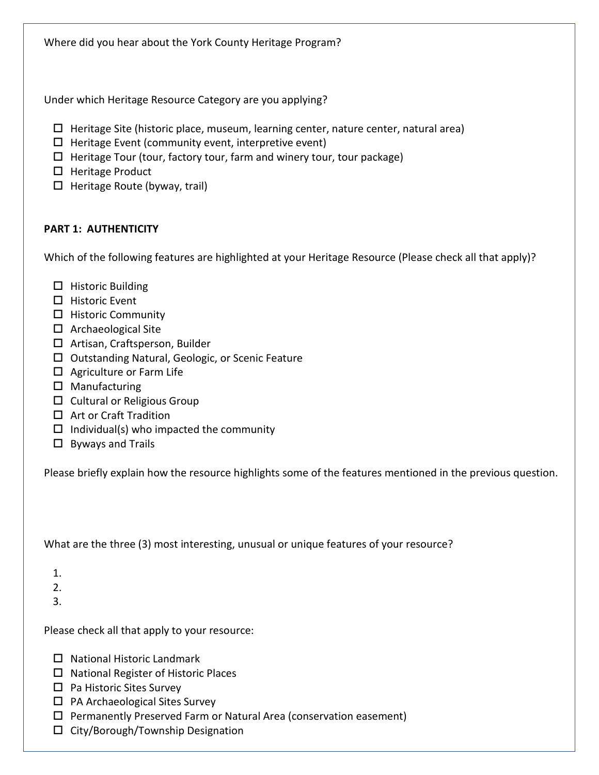Where did you hear about the York County Heritage Program?

Under which Heritage Resource Category are you applying?

- $\Box$  Heritage Site (historic place, museum, learning center, nature center, natural area)
- $\Box$  Heritage Event (community event, interpretive event)
- $\Box$  Heritage Tour (tour, factory tour, farm and winery tour, tour package)
- $\Box$  Heritage Product
- $\Box$  Heritage Route (byway, trail)

## **PART 1: AUTHENTICITY**

Which of the following features are highlighted at your Heritage Resource (Please check all that apply)?

- $\Box$  Historic Building
- $\Box$  Historic Event
- $\Box$  Historic Community
- $\Box$  Archaeological Site
- □ Artisan, Craftsperson, Builder
- $\Box$  Outstanding Natural, Geologic, or Scenic Feature
- $\Box$  Agriculture or Farm Life
- $\square$  Manufacturing
- $\square$  Cultural or Religious Group
- $\Box$  Art or Craft Tradition
- $\Box$  Individual(s) who impacted the community
- $\square$  Byways and Trails

Please briefly explain how the resource highlights some of the features mentioned in the previous question.

What are the three (3) most interesting, unusual or unique features of your resource?

- 1.
- $2<sub>1</sub>$
- 3.

Please check all that apply to your resource:

- $\Box$  National Historic Landmark
- $\Box$  National Register of Historic Places
- $\Box$  Pa Historic Sites Survey
- $\Box$  PA Archaeological Sites Survey
- $\square$  Permanently Preserved Farm or Natural Area (conservation easement)
- $\Box$  City/Borough/Township Designation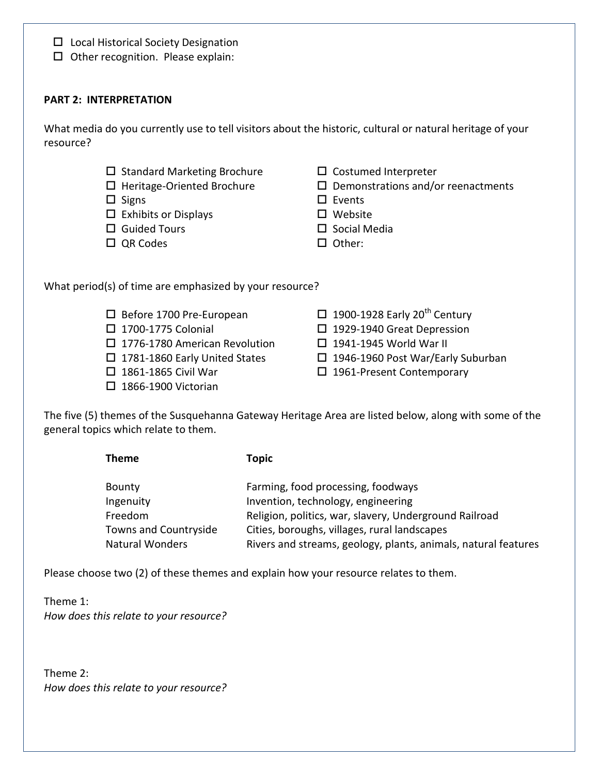- $\square$  Local Historical Society Designation
- $\square$  Other recognition. Please explain:

## **PART 2: INTERPRETATION**

What media do you currently use to tell visitors about the historic, cultural or natural heritage of your resource?

- $\square$  Standard Marketing Brochure  $\square$  Costumed Interpreter
- 
- 
- $\square$  Exhibits or Displays  $\square$  Website
- $\square$  Guided Tours  $\square$  Social Media
- $\Box$  QR Codes  $\Box$  Other:
- 
- $\Box$  Heritage-Oriented Brochure  $\Box$  Demonstrations and/or reenactments
- $\square$  Signs  $\square$  Events
	-
	-
	-

What period(s) of time are emphasized by your resource?

- 
- 
- $\Box$  1776-1780 American Revolution  $\Box$  1941-1945 World War II
- 
- 
- $\Box$  1866-1900 Victorian
- $\Box$  Before 1700 Pre-European  $\Box$  1900-1928 Early 20<sup>th</sup> Century
- 1700-1775 Colonial 1929-1940 Great Depression
	-
- $\Box$  1781-1860 Early United States  $\Box$  1946-1960 Post War/Early Suburban
- 1861-1865 Civil War 1961-Present Contemporary

The five (5) themes of the Susquehanna Gateway Heritage Area are listed below, along with some of the general topics which relate to them.

**Theme Topic**

| Bounty                 | Farming, food processing, foodways                             |
|------------------------|----------------------------------------------------------------|
| Ingenuity              | Invention, technology, engineering                             |
| Freedom                | Religion, politics, war, slavery, Underground Railroad         |
| Towns and Countryside  | Cities, boroughs, villages, rural landscapes                   |
| <b>Natural Wonders</b> | Rivers and streams, geology, plants, animals, natural features |

Please choose two (2) of these themes and explain how your resource relates to them.

Theme 1: *How does this relate to your resource?*

Theme 2: *How does this relate to your resource?*